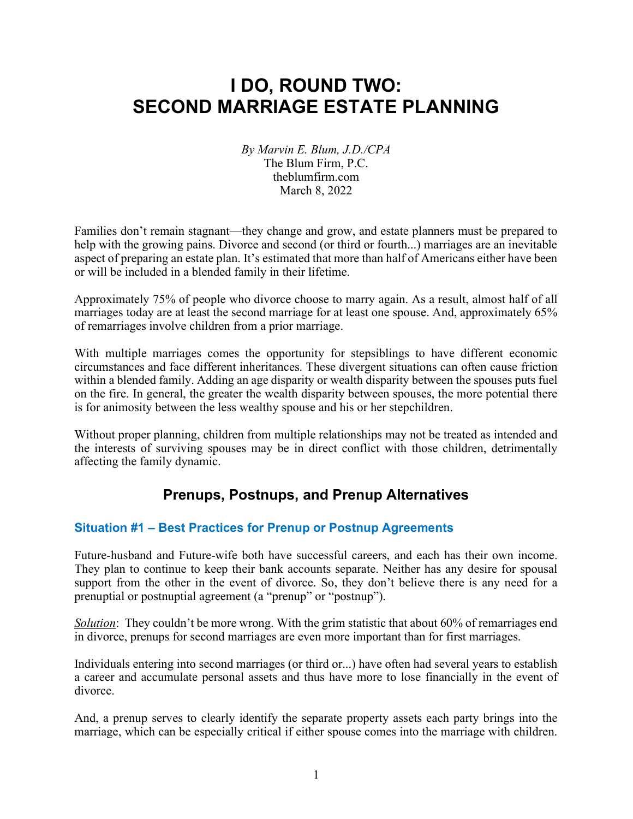#### I DO, ROUND TWO: SECOND MARRIAGE ESTATE PLANNING

By Marvin E. Blum, J.D./CPA The Blum Firm, P.C. theblumfirm.com March 8, 2022

Families don't remain stagnant—they change and grow, and estate planners must be prepared to help with the growing pains. Divorce and second (or third or fourth...) marriages are an inevitable aspect of preparing an estate plan. It's estimated that more than half of Americans either have been or will be included in a blended family in their lifetime.

Approximately 75% of people who divorce choose to marry again. As a result, almost half of all marriages today are at least the second marriage for at least one spouse. And, approximately 65% of remarriages involve children from a prior marriage.

With multiple marriages comes the opportunity for stepsiblings to have different economic circumstances and face different inheritances. These divergent situations can often cause friction within a blended family. Adding an age disparity or wealth disparity between the spouses puts fuel on the fire. In general, the greater the wealth disparity between spouses, the more potential there is for animosity between the less wealthy spouse and his or her stepchildren.

Without proper planning, children from multiple relationships may not be treated as intended and the interests of surviving spouses may be in direct conflict with those children, detrimentally affecting the family dynamic.

#### Prenups, Postnups, and Prenup Alternatives

#### Situation #1 – Best Practices for Prenup or Postnup Agreements

Future-husband and Future-wife both have successful careers, and each has their own income. They plan to continue to keep their bank accounts separate. Neither has any desire for spousal support from the other in the event of divorce. So, they don't believe there is any need for a prenuptial or postnuptial agreement (a "prenup" or "postnup").

Solution: They couldn't be more wrong. With the grim statistic that about 60% of remarriages end in divorce, prenups for second marriages are even more important than for first marriages.

Individuals entering into second marriages (or third or...) have often had several years to establish a career and accumulate personal assets and thus have more to lose financially in the event of divorce.

And, a prenup serves to clearly identify the separate property assets each party brings into the marriage, which can be especially critical if either spouse comes into the marriage with children.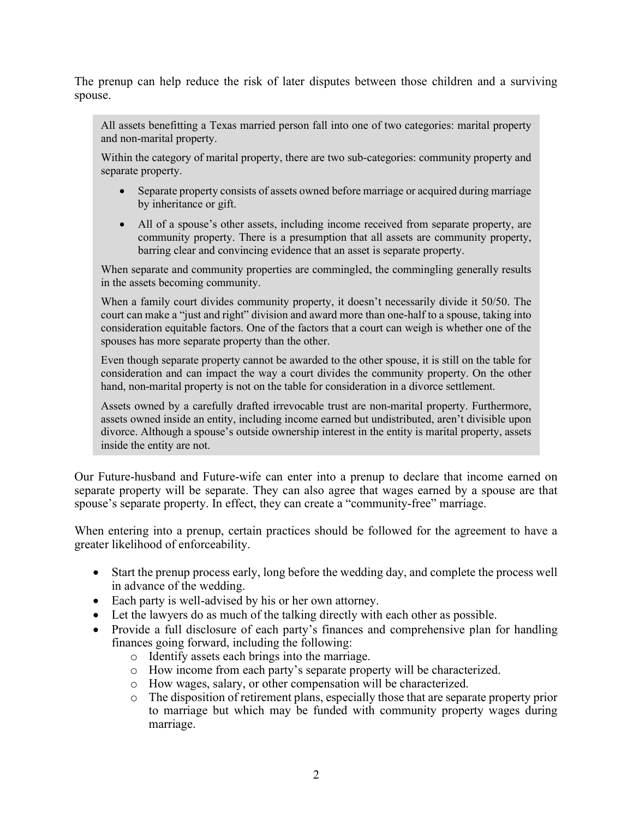The prenup can help reduce the risk of later disputes between those children and a surviving spouse.

All assets benefitting a Texas married person fall into one of two categories: marital property and non-marital property.

Within the category of marital property, there are two sub-categories: community property and separate property.

- Separate property consists of assets owned before marriage or acquired during marriage by inheritance or gift.
- All of a spouse's other assets, including income received from separate property, are community property. There is a presumption that all assets are community property, barring clear and convincing evidence that an asset is separate property.

When separate and community properties are commingled, the commingling generally results in the assets becoming community.

When a family court divides community property, it doesn't necessarily divide it 50/50. The court can make a "just and right" division and award more than one-half to a spouse, taking into consideration equitable factors. One of the factors that a court can weigh is whether one of the spouses has more separate property than the other.

Even though separate property cannot be awarded to the other spouse, it is still on the table for consideration and can impact the way a court divides the community property. On the other hand, non-marital property is not on the table for consideration in a divorce settlement.

Assets owned by a carefully drafted irrevocable trust are non-marital property. Furthermore, assets owned inside an entity, including income earned but undistributed, aren't divisible upon divorce. Although a spouse's outside ownership interest in the entity is marital property, assets inside the entity are not.

Our Future-husband and Future-wife can enter into a prenup to declare that income earned on separate property will be separate. They can also agree that wages earned by a spouse are that spouse's separate property. In effect, they can create a "community-free" marriage.

When entering into a prenup, certain practices should be followed for the agreement to have a greater likelihood of enforceability.

- Start the prenup process early, long before the wedding day, and complete the process well in advance of the wedding.
- Each party is well-advised by his or her own attorney.
- Let the lawyers do as much of the talking directly with each other as possible.
- Provide a full disclosure of each party's finances and comprehensive plan for handling finances going forward, including the following:
	- o Identify assets each brings into the marriage.
	- o How income from each party's separate property will be characterized.
	- o How wages, salary, or other compensation will be characterized.
	- o The disposition of retirement plans, especially those that are separate property prior to marriage but which may be funded with community property wages during marriage.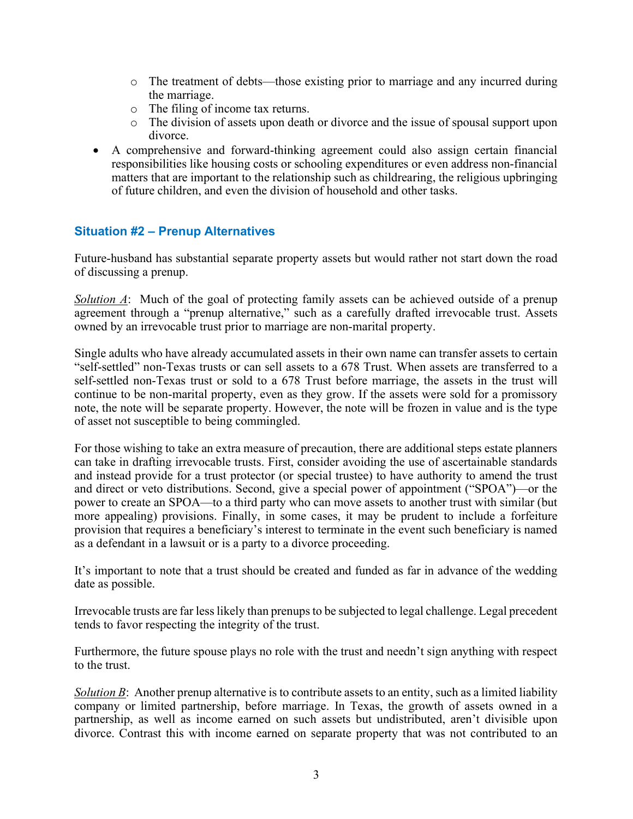- o The treatment of debts—those existing prior to marriage and any incurred during the marriage.
- o The filing of income tax returns.
- o The division of assets upon death or divorce and the issue of spousal support upon divorce.
- A comprehensive and forward-thinking agreement could also assign certain financial responsibilities like housing costs or schooling expenditures or even address non-financial matters that are important to the relationship such as childrearing, the religious upbringing of future children, and even the division of household and other tasks.

#### Situation #2 – Prenup Alternatives

Future-husband has substantial separate property assets but would rather not start down the road of discussing a prenup.

Solution A: Much of the goal of protecting family assets can be achieved outside of a prenup agreement through a "prenup alternative," such as a carefully drafted irrevocable trust. Assets owned by an irrevocable trust prior to marriage are non-marital property.

Single adults who have already accumulated assets in their own name can transfer assets to certain "self-settled" non-Texas trusts or can sell assets to a 678 Trust. When assets are transferred to a self-settled non-Texas trust or sold to a 678 Trust before marriage, the assets in the trust will continue to be non-marital property, even as they grow. If the assets were sold for a promissory note, the note will be separate property. However, the note will be frozen in value and is the type of asset not susceptible to being commingled.

For those wishing to take an extra measure of precaution, there are additional steps estate planners can take in drafting irrevocable trusts. First, consider avoiding the use of ascertainable standards and instead provide for a trust protector (or special trustee) to have authority to amend the trust and direct or veto distributions. Second, give a special power of appointment ("SPOA")—or the power to create an SPOA—to a third party who can move assets to another trust with similar (but more appealing) provisions. Finally, in some cases, it may be prudent to include a forfeiture provision that requires a beneficiary's interest to terminate in the event such beneficiary is named as a defendant in a lawsuit or is a party to a divorce proceeding.

It's important to note that a trust should be created and funded as far in advance of the wedding date as possible.

Irrevocable trusts are far less likely than prenups to be subjected to legal challenge. Legal precedent tends to favor respecting the integrity of the trust.

Furthermore, the future spouse plays no role with the trust and needn't sign anything with respect to the trust.

Solution  $\vec{B}$ : Another prenup alternative is to contribute assets to an entity, such as a limited liability company or limited partnership, before marriage. In Texas, the growth of assets owned in a partnership, as well as income earned on such assets but undistributed, aren't divisible upon divorce. Contrast this with income earned on separate property that was not contributed to an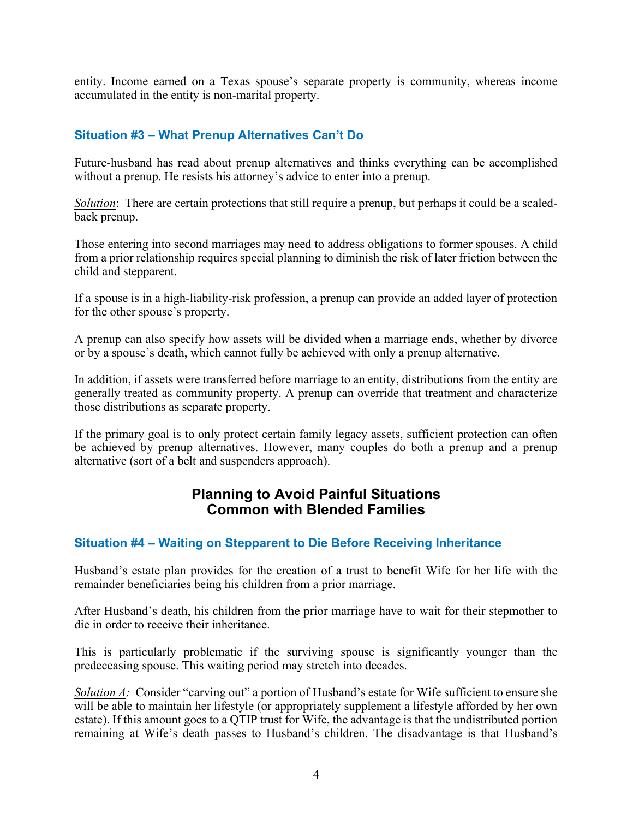entity. Income earned on a Texas spouse's separate property is community, whereas income accumulated in the entity is non-marital property.

#### Situation #3 – What Prenup Alternatives Can't Do

Future-husband has read about prenup alternatives and thinks everything can be accomplished without a prenup. He resists his attorney's advice to enter into a prenup.

Solution: There are certain protections that still require a prenup, but perhaps it could be a scaledback prenup.

Those entering into second marriages may need to address obligations to former spouses. A child from a prior relationship requires special planning to diminish the risk of later friction between the child and stepparent.

If a spouse is in a high-liability-risk profession, a prenup can provide an added layer of protection for the other spouse's property.

A prenup can also specify how assets will be divided when a marriage ends, whether by divorce or by a spouse's death, which cannot fully be achieved with only a prenup alternative.

In addition, if assets were transferred before marriage to an entity, distributions from the entity are generally treated as community property. A prenup can override that treatment and characterize those distributions as separate property.

If the primary goal is to only protect certain family legacy assets, sufficient protection can often be achieved by prenup alternatives. However, many couples do both a prenup and a prenup alternative (sort of a belt and suspenders approach).

#### Planning to Avoid Painful Situations Common with Blended Families

#### Situation #4 – Waiting on Stepparent to Die Before Receiving Inheritance

Husband's estate plan provides for the creation of a trust to benefit Wife for her life with the remainder beneficiaries being his children from a prior marriage.

After Husband's death, his children from the prior marriage have to wait for their stepmother to die in order to receive their inheritance.

This is particularly problematic if the surviving spouse is significantly younger than the predeceasing spouse. This waiting period may stretch into decades.

Solution A: Consider "carving out" a portion of Husband's estate for Wife sufficient to ensure she will be able to maintain her lifestyle (or appropriately supplement a lifestyle afforded by her own estate). If this amount goes to a QTIP trust for Wife, the advantage is that the undistributed portion remaining at Wife's death passes to Husband's children. The disadvantage is that Husband's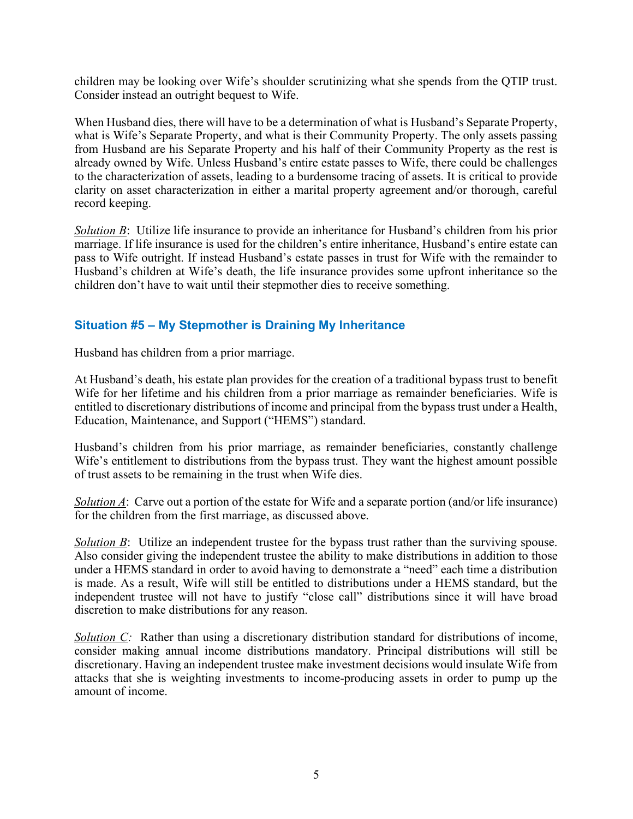children may be looking over Wife's shoulder scrutinizing what she spends from the QTIP trust. Consider instead an outright bequest to Wife.

When Husband dies, there will have to be a determination of what is Husband's Separate Property, what is Wife's Separate Property, and what is their Community Property. The only assets passing from Husband are his Separate Property and his half of their Community Property as the rest is already owned by Wife. Unless Husband's entire estate passes to Wife, there could be challenges to the characterization of assets, leading to a burdensome tracing of assets. It is critical to provide clarity on asset characterization in either a marital property agreement and/or thorough, careful record keeping.

Solution B: Utilize life insurance to provide an inheritance for Husband's children from his prior marriage. If life insurance is used for the children's entire inheritance, Husband's entire estate can pass to Wife outright. If instead Husband's estate passes in trust for Wife with the remainder to Husband's children at Wife's death, the life insurance provides some upfront inheritance so the children don't have to wait until their stepmother dies to receive something.

#### Situation #5 – My Stepmother is Draining My Inheritance

Husband has children from a prior marriage.

At Husband's death, his estate plan provides for the creation of a traditional bypass trust to benefit Wife for her lifetime and his children from a prior marriage as remainder beneficiaries. Wife is entitled to discretionary distributions of income and principal from the bypass trust under a Health, Education, Maintenance, and Support ("HEMS") standard.

Husband's children from his prior marriage, as remainder beneficiaries, constantly challenge Wife's entitlement to distributions from the bypass trust. They want the highest amount possible of trust assets to be remaining in the trust when Wife dies.

Solution  $\Lambda$ : Carve out a portion of the estate for Wife and a separate portion (and/or life insurance) for the children from the first marriage, as discussed above.

Solution B: Utilize an independent trustee for the bypass trust rather than the surviving spouse. Also consider giving the independent trustee the ability to make distributions in addition to those under a HEMS standard in order to avoid having to demonstrate a "need" each time a distribution is made. As a result, Wife will still be entitled to distributions under a HEMS standard, but the independent trustee will not have to justify "close call" distributions since it will have broad discretion to make distributions for any reason.

Solution C: Rather than using a discretionary distribution standard for distributions of income, consider making annual income distributions mandatory. Principal distributions will still be discretionary. Having an independent trustee make investment decisions would insulate Wife from attacks that she is weighting investments to income-producing assets in order to pump up the amount of income.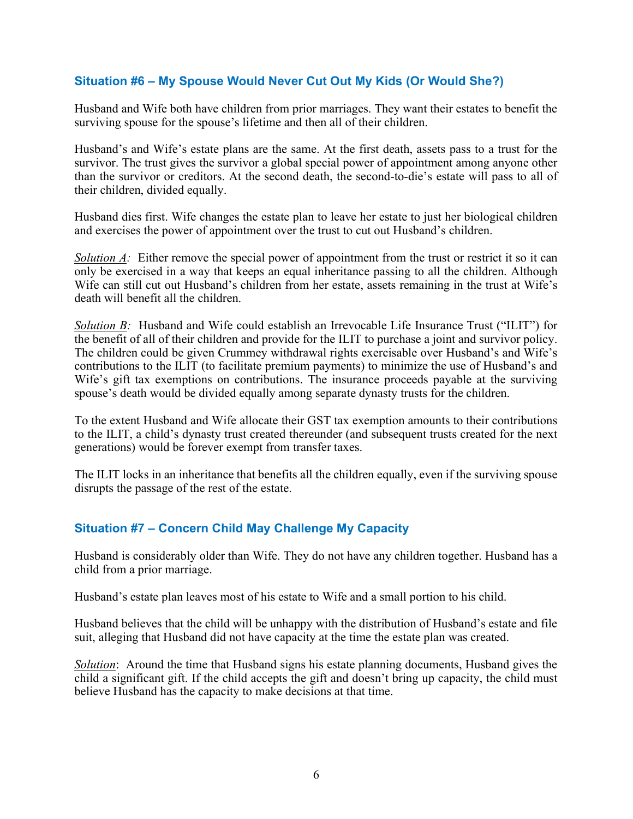#### Situation #6 – My Spouse Would Never Cut Out My Kids (Or Would She?)

Husband and Wife both have children from prior marriages. They want their estates to benefit the surviving spouse for the spouse's lifetime and then all of their children.

Husband's and Wife's estate plans are the same. At the first death, assets pass to a trust for the survivor. The trust gives the survivor a global special power of appointment among anyone other than the survivor or creditors. At the second death, the second-to-die's estate will pass to all of their children, divided equally.

Husband dies first. Wife changes the estate plan to leave her estate to just her biological children and exercises the power of appointment over the trust to cut out Husband's children.

Solution  $\Lambda$ : Either remove the special power of appointment from the trust or restrict it so it can only be exercised in a way that keeps an equal inheritance passing to all the children. Although Wife can still cut out Husband's children from her estate, assets remaining in the trust at Wife's death will benefit all the children.

Solution B: Husband and Wife could establish an Irrevocable Life Insurance Trust ("ILIT") for the benefit of all of their children and provide for the ILIT to purchase a joint and survivor policy. The children could be given Crummey withdrawal rights exercisable over Husband's and Wife's contributions to the ILIT (to facilitate premium payments) to minimize the use of Husband's and Wife's gift tax exemptions on contributions. The insurance proceeds payable at the surviving spouse's death would be divided equally among separate dynasty trusts for the children.

To the extent Husband and Wife allocate their GST tax exemption amounts to their contributions to the ILIT, a child's dynasty trust created thereunder (and subsequent trusts created for the next generations) would be forever exempt from transfer taxes.

The ILIT locks in an inheritance that benefits all the children equally, even if the surviving spouse disrupts the passage of the rest of the estate.

#### Situation #7 – Concern Child May Challenge My Capacity

Husband is considerably older than Wife. They do not have any children together. Husband has a child from a prior marriage.

Husband's estate plan leaves most of his estate to Wife and a small portion to his child.

Husband believes that the child will be unhappy with the distribution of Husband's estate and file suit, alleging that Husband did not have capacity at the time the estate plan was created.

Solution: Around the time that Husband signs his estate planning documents, Husband gives the child a significant gift. If the child accepts the gift and doesn't bring up capacity, the child must believe Husband has the capacity to make decisions at that time.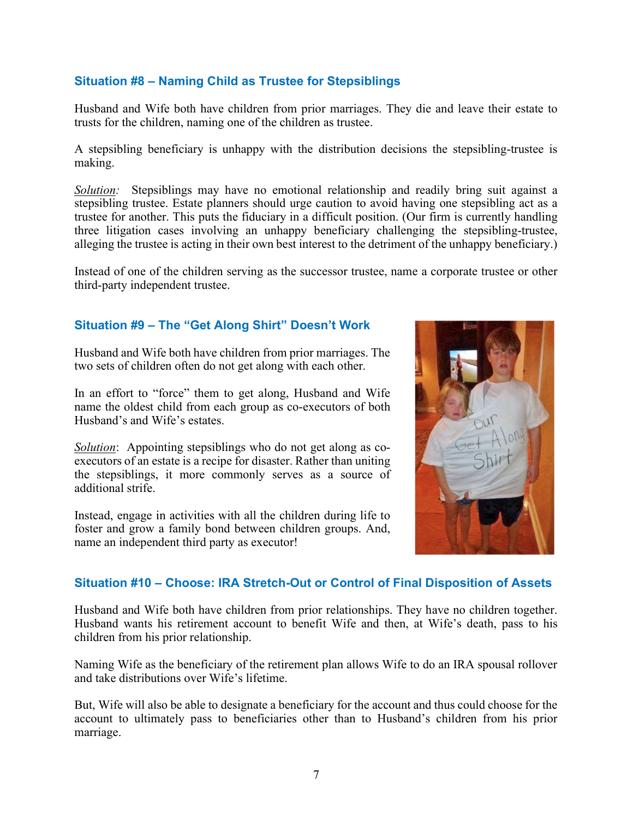#### Situation #8 – Naming Child as Trustee for Stepsiblings

Husband and Wife both have children from prior marriages. They die and leave their estate to trusts for the children, naming one of the children as trustee.

A stepsibling beneficiary is unhappy with the distribution decisions the stepsibling-trustee is making.

Solution: Stepsiblings may have no emotional relationship and readily bring suit against a stepsibling trustee. Estate planners should urge caution to avoid having one stepsibling act as a trustee for another. This puts the fiduciary in a difficult position. (Our firm is currently handling three litigation cases involving an unhappy beneficiary challenging the stepsibling-trustee, alleging the trustee is acting in their own best interest to the detriment of the unhappy beneficiary.)

Instead of one of the children serving as the successor trustee, name a corporate trustee or other third-party independent trustee.

#### Situation #9 – The "Get Along Shirt" Doesn't Work

Husband and Wife both have children from prior marriages. The two sets of children often do not get along with each other.

In an effort to "force" them to get along, Husband and Wife name the oldest child from each group as co-executors of both Husband's and Wife's estates.

Solution: Appointing stepsiblings who do not get along as coexecutors of an estate is a recipe for disaster. Rather than uniting the stepsiblings, it more commonly serves as a source of additional strife.

Instead, engage in activities with all the children during life to foster and grow a family bond between children groups. And, name an independent third party as executor!



#### Situation #10 – Choose: IRA Stretch-Out or Control of Final Disposition of Assets

Husband and Wife both have children from prior relationships. They have no children together. Husband wants his retirement account to benefit Wife and then, at Wife's death, pass to his children from his prior relationship.

Naming Wife as the beneficiary of the retirement plan allows Wife to do an IRA spousal rollover and take distributions over Wife's lifetime.

But, Wife will also be able to designate a beneficiary for the account and thus could choose for the account to ultimately pass to beneficiaries other than to Husband's children from his prior marriage.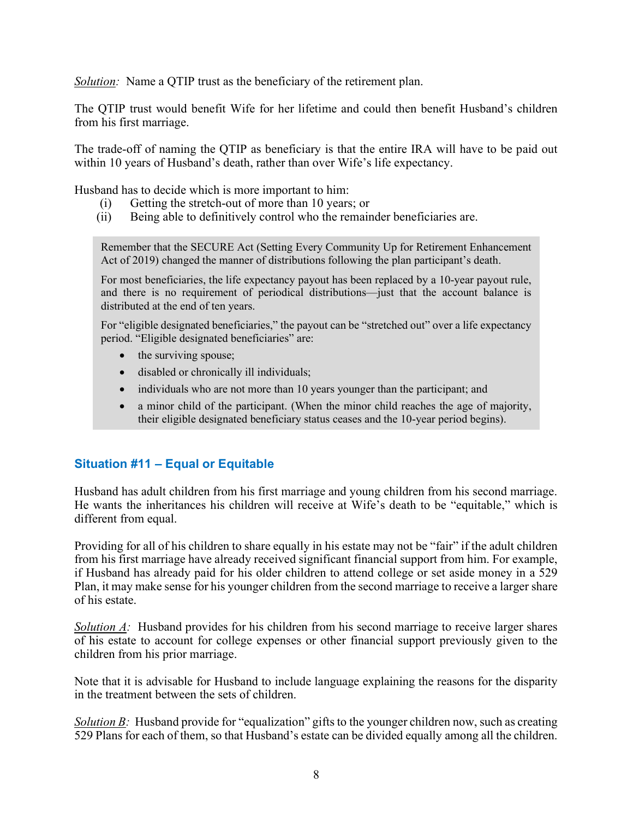Solution: Name a QTIP trust as the beneficiary of the retirement plan.

The QTIP trust would benefit Wife for her lifetime and could then benefit Husband's children from his first marriage.

The trade-off of naming the QTIP as beneficiary is that the entire IRA will have to be paid out within 10 years of Husband's death, rather than over Wife's life expectancy.

Husband has to decide which is more important to him:

- (i) Getting the stretch-out of more than 10 years; or
- (ii) Being able to definitively control who the remainder beneficiaries are.

Remember that the SECURE Act (Setting Every Community Up for Retirement Enhancement Act of 2019) changed the manner of distributions following the plan participant's death.

For most beneficiaries, the life expectancy payout has been replaced by a 10-year payout rule, and there is no requirement of periodical distributions—just that the account balance is distributed at the end of ten years.

For "eligible designated beneficiaries," the payout can be "stretched out" over a life expectancy period. "Eligible designated beneficiaries" are:

- the surviving spouse;
- disabled or chronically ill individuals;
- individuals who are not more than 10 years younger than the participant; and
- a minor child of the participant. (When the minor child reaches the age of majority, their eligible designated beneficiary status ceases and the 10-year period begins).

#### Situation #11 – Equal or Equitable

Husband has adult children from his first marriage and young children from his second marriage. He wants the inheritances his children will receive at Wife's death to be "equitable," which is different from equal.

Providing for all of his children to share equally in his estate may not be "fair" if the adult children from his first marriage have already received significant financial support from him. For example, if Husband has already paid for his older children to attend college or set aside money in a 529 Plan, it may make sense for his younger children from the second marriage to receive a larger share of his estate.

Solution  $\Lambda$ : Husband provides for his children from his second marriage to receive larger shares of his estate to account for college expenses or other financial support previously given to the children from his prior marriage.

Note that it is advisable for Husband to include language explaining the reasons for the disparity in the treatment between the sets of children.

Solution B: Husband provide for "equalization" gifts to the younger children now, such as creating 529 Plans for each of them, so that Husband's estate can be divided equally among all the children.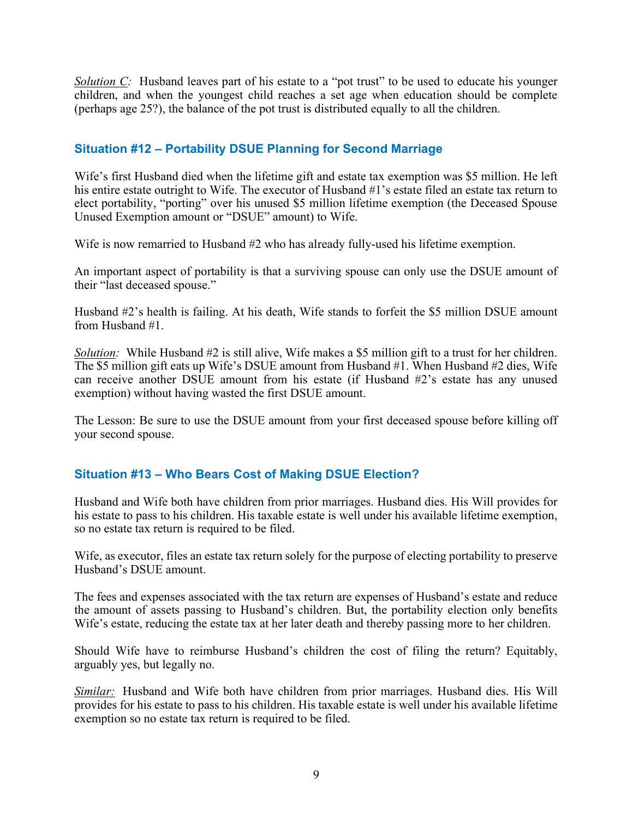Solution  $C$ : Husband leaves part of his estate to a "pot trust" to be used to educate his younger children, and when the youngest child reaches a set age when education should be complete (perhaps age 25?), the balance of the pot trust is distributed equally to all the children.

#### Situation #12 – Portability DSUE Planning for Second Marriage

Wife's first Husband died when the lifetime gift and estate tax exemption was \$5 million. He left his entire estate outright to Wife. The executor of Husband #1's estate filed an estate tax return to elect portability, "porting" over his unused \$5 million lifetime exemption (the Deceased Spouse Unused Exemption amount or "DSUE" amount) to Wife.

Wife is now remarried to Husband #2 who has already fully-used his lifetime exemption.

An important aspect of portability is that a surviving spouse can only use the DSUE amount of their "last deceased spouse."

Husband #2's health is failing. At his death, Wife stands to forfeit the \$5 million DSUE amount from Husband #1.

Solution: While Husband #2 is still alive, Wife makes a \$5 million gift to a trust for her children. The \$5 million gift eats up Wife's DSUE amount from Husband #1. When Husband #2 dies, Wife can receive another DSUE amount from his estate (if Husband #2's estate has any unused exemption) without having wasted the first DSUE amount.

The Lesson: Be sure to use the DSUE amount from your first deceased spouse before killing off your second spouse.

#### Situation #13 – Who Bears Cost of Making DSUE Election?

Husband and Wife both have children from prior marriages. Husband dies. His Will provides for his estate to pass to his children. His taxable estate is well under his available lifetime exemption, so no estate tax return is required to be filed.

Wife, as executor, files an estate tax return solely for the purpose of electing portability to preserve Husband's DSUE amount.

The fees and expenses associated with the tax return are expenses of Husband's estate and reduce the amount of assets passing to Husband's children. But, the portability election only benefits Wife's estate, reducing the estate tax at her later death and thereby passing more to her children.

Should Wife have to reimburse Husband's children the cost of filing the return? Equitably, arguably yes, but legally no.

Similar: Husband and Wife both have children from prior marriages. Husband dies. His Will provides for his estate to pass to his children. His taxable estate is well under his available lifetime exemption so no estate tax return is required to be filed.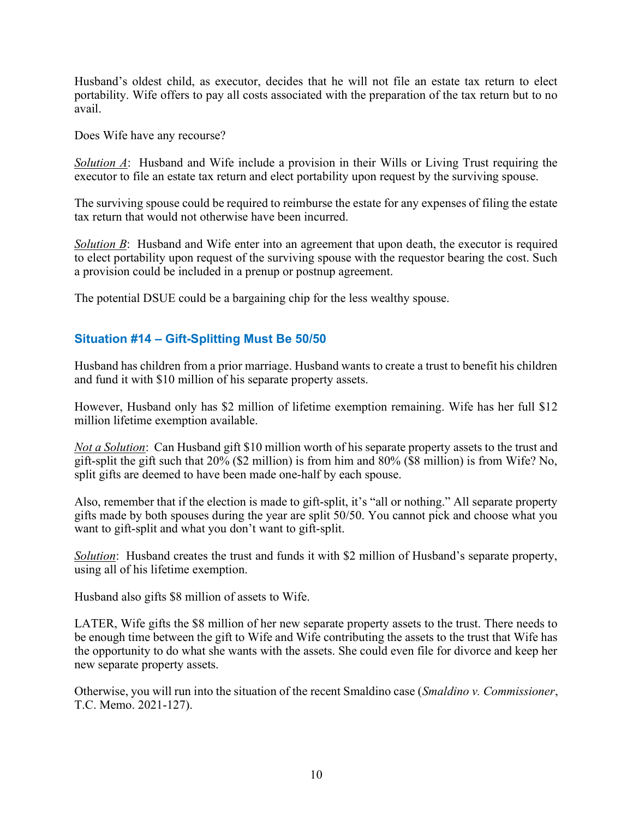Husband's oldest child, as executor, decides that he will not file an estate tax return to elect portability. Wife offers to pay all costs associated with the preparation of the tax return but to no avail.

Does Wife have any recourse?

Solution  $\Lambda$ : Husband and Wife include a provision in their Wills or Living Trust requiring the executor to file an estate tax return and elect portability upon request by the surviving spouse.

The surviving spouse could be required to reimburse the estate for any expenses of filing the estate tax return that would not otherwise have been incurred.

Solution  $\vec{B}$ : Husband and Wife enter into an agreement that upon death, the executor is required to elect portability upon request of the surviving spouse with the requestor bearing the cost. Such a provision could be included in a prenup or postnup agreement.

The potential DSUE could be a bargaining chip for the less wealthy spouse.

#### Situation #14 – Gift-Splitting Must Be 50/50

Husband has children from a prior marriage. Husband wants to create a trust to benefit his children and fund it with \$10 million of his separate property assets.

However, Husband only has \$2 million of lifetime exemption remaining. Wife has her full \$12 million lifetime exemption available.

Not a Solution: Can Husband gift \$10 million worth of his separate property assets to the trust and gift-split the gift such that 20% (\$2 million) is from him and 80% (\$8 million) is from Wife? No, split gifts are deemed to have been made one-half by each spouse.

Also, remember that if the election is made to gift-split, it's "all or nothing." All separate property gifts made by both spouses during the year are split 50/50. You cannot pick and choose what you want to gift-split and what you don't want to gift-split.

Solution: Husband creates the trust and funds it with \$2 million of Husband's separate property, using all of his lifetime exemption.

Husband also gifts \$8 million of assets to Wife.

LATER, Wife gifts the \$8 million of her new separate property assets to the trust. There needs to be enough time between the gift to Wife and Wife contributing the assets to the trust that Wife has the opportunity to do what she wants with the assets. She could even file for divorce and keep her new separate property assets.

Otherwise, you will run into the situation of the recent Smaldino case (Smaldino v. Commissioner, T.C. Memo. 2021-127).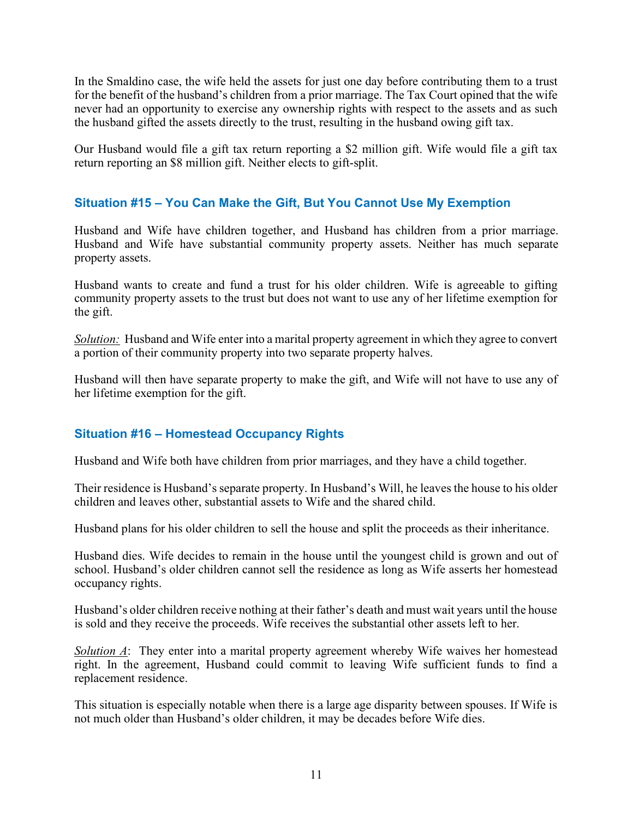In the Smaldino case, the wife held the assets for just one day before contributing them to a trust for the benefit of the husband's children from a prior marriage. The Tax Court opined that the wife never had an opportunity to exercise any ownership rights with respect to the assets and as such the husband gifted the assets directly to the trust, resulting in the husband owing gift tax.

Our Husband would file a gift tax return reporting a \$2 million gift. Wife would file a gift tax return reporting an \$8 million gift. Neither elects to gift-split.

#### Situation #15 – You Can Make the Gift, But You Cannot Use My Exemption

Husband and Wife have children together, and Husband has children from a prior marriage. Husband and Wife have substantial community property assets. Neither has much separate property assets.

Husband wants to create and fund a trust for his older children. Wife is agreeable to gifting community property assets to the trust but does not want to use any of her lifetime exemption for the gift.

Solution: Husband and Wife enter into a marital property agreement in which they agree to convert a portion of their community property into two separate property halves.

Husband will then have separate property to make the gift, and Wife will not have to use any of her lifetime exemption for the gift.

#### Situation #16 – Homestead Occupancy Rights

Husband and Wife both have children from prior marriages, and they have a child together.

Their residence is Husband's separate property. In Husband's Will, he leaves the house to his older children and leaves other, substantial assets to Wife and the shared child.

Husband plans for his older children to sell the house and split the proceeds as their inheritance.

Husband dies. Wife decides to remain in the house until the youngest child is grown and out of school. Husband's older children cannot sell the residence as long as Wife asserts her homestead occupancy rights.

Husband's older children receive nothing at their father's death and must wait years until the house is sold and they receive the proceeds. Wife receives the substantial other assets left to her.

Solution A: They enter into a marital property agreement whereby Wife waives her homestead right. In the agreement, Husband could commit to leaving Wife sufficient funds to find a replacement residence.

This situation is especially notable when there is a large age disparity between spouses. If Wife is not much older than Husband's older children, it may be decades before Wife dies.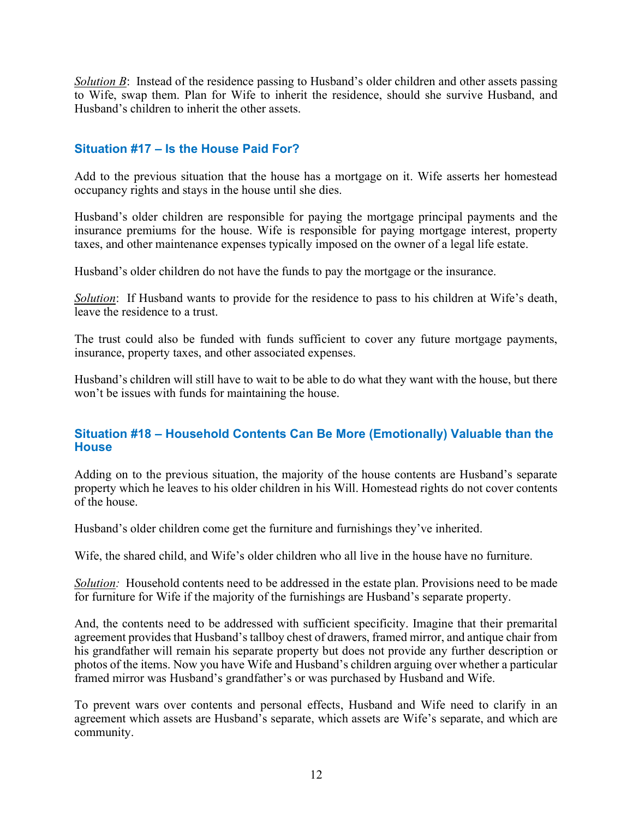Solution B: Instead of the residence passing to Husband's older children and other assets passing to Wife, swap them. Plan for Wife to inherit the residence, should she survive Husband, and Husband's children to inherit the other assets.

#### Situation #17 – Is the House Paid For?

Add to the previous situation that the house has a mortgage on it. Wife asserts her homestead occupancy rights and stays in the house until she dies.

Husband's older children are responsible for paying the mortgage principal payments and the insurance premiums for the house. Wife is responsible for paying mortgage interest, property taxes, and other maintenance expenses typically imposed on the owner of a legal life estate.

Husband's older children do not have the funds to pay the mortgage or the insurance.

Solution: If Husband wants to provide for the residence to pass to his children at Wife's death, leave the residence to a trust.

The trust could also be funded with funds sufficient to cover any future mortgage payments, insurance, property taxes, and other associated expenses.

Husband's children will still have to wait to be able to do what they want with the house, but there won't be issues with funds for maintaining the house.

#### Situation #18 – Household Contents Can Be More (Emotionally) Valuable than the **House**

Adding on to the previous situation, the majority of the house contents are Husband's separate property which he leaves to his older children in his Will. Homestead rights do not cover contents of the house.

Husband's older children come get the furniture and furnishings they've inherited.

Wife, the shared child, and Wife's older children who all live in the house have no furniture.

Solution: Household contents need to be addressed in the estate plan. Provisions need to be made for furniture for Wife if the majority of the furnishings are Husband's separate property.

And, the contents need to be addressed with sufficient specificity. Imagine that their premarital agreement provides that Husband's tallboy chest of drawers, framed mirror, and antique chair from his grandfather will remain his separate property but does not provide any further description or photos of the items. Now you have Wife and Husband's children arguing over whether a particular framed mirror was Husband's grandfather's or was purchased by Husband and Wife.

To prevent wars over contents and personal effects, Husband and Wife need to clarify in an agreement which assets are Husband's separate, which assets are Wife's separate, and which are community.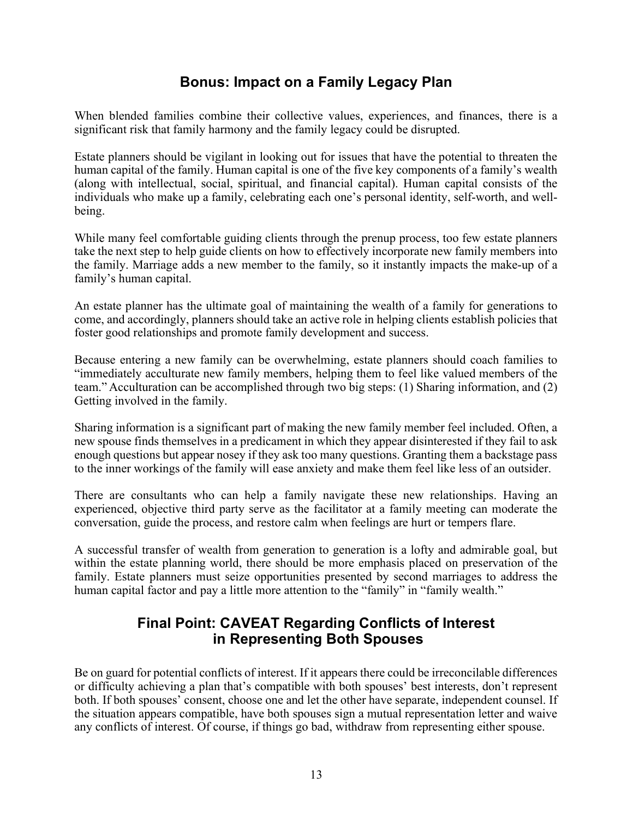#### Bonus: Impact on a Family Legacy Plan

When blended families combine their collective values, experiences, and finances, there is a significant risk that family harmony and the family legacy could be disrupted.

Estate planners should be vigilant in looking out for issues that have the potential to threaten the human capital of the family. Human capital is one of the five key components of a family's wealth (along with intellectual, social, spiritual, and financial capital). Human capital consists of the individuals who make up a family, celebrating each one's personal identity, self-worth, and wellbeing.

While many feel comfortable guiding clients through the prenup process, too few estate planners take the next step to help guide clients on how to effectively incorporate new family members into the family. Marriage adds a new member to the family, so it instantly impacts the make-up of a family's human capital.

An estate planner has the ultimate goal of maintaining the wealth of a family for generations to come, and accordingly, planners should take an active role in helping clients establish policies that foster good relationships and promote family development and success.

Because entering a new family can be overwhelming, estate planners should coach families to "immediately acculturate new family members, helping them to feel like valued members of the team." Acculturation can be accomplished through two big steps: (1) Sharing information, and (2) Getting involved in the family.

Sharing information is a significant part of making the new family member feel included. Often, a new spouse finds themselves in a predicament in which they appear disinterested if they fail to ask enough questions but appear nosey if they ask too many questions. Granting them a backstage pass to the inner workings of the family will ease anxiety and make them feel like less of an outsider.

There are consultants who can help a family navigate these new relationships. Having an experienced, objective third party serve as the facilitator at a family meeting can moderate the conversation, guide the process, and restore calm when feelings are hurt or tempers flare.

A successful transfer of wealth from generation to generation is a lofty and admirable goal, but within the estate planning world, there should be more emphasis placed on preservation of the family. Estate planners must seize opportunities presented by second marriages to address the human capital factor and pay a little more attention to the "family" in "family wealth."

#### Final Point: CAVEAT Regarding Conflicts of Interest in Representing Both Spouses

Be on guard for potential conflicts of interest. If it appears there could be irreconcilable differences or difficulty achieving a plan that's compatible with both spouses' best interests, don't represent both. If both spouses' consent, choose one and let the other have separate, independent counsel. If the situation appears compatible, have both spouses sign a mutual representation letter and waive any conflicts of interest. Of course, if things go bad, withdraw from representing either spouse.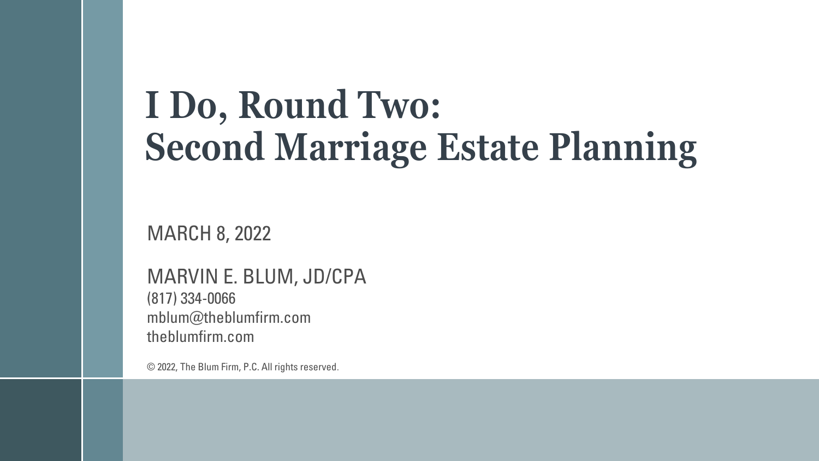# **I Do, Round Two: Second Marriage Estate Planning**

MARCH 8, 2022

MARVIN E. BLUM, JD/CPA (817) 334-0066 mblum@theblumfirm.com theblumfirm.com

© 2022, The Blum Firm, P.C. All rights reserved.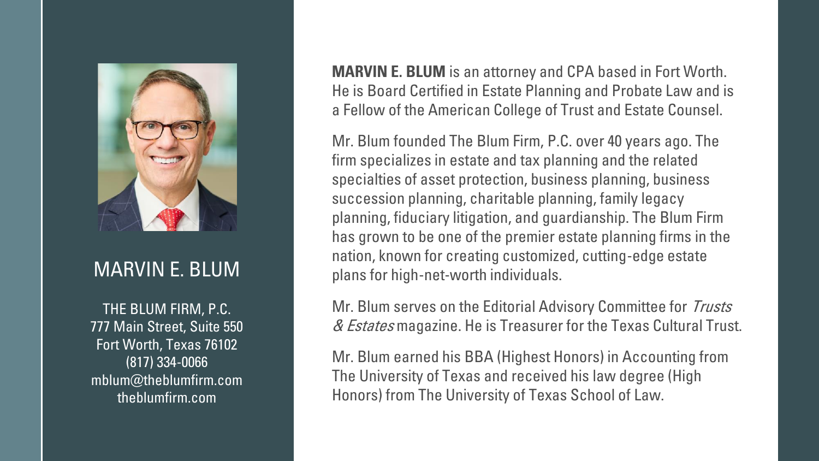

#### MARVIN E. BLUM

THE BLUM FIRM, P.C. 777 Main Street, Suite 550 Fort Worth, Texas 76102 (817) 334-0066 mblum@theblumfirm.com theblumfirm.com

**MARVIN E. BLUM** is an attorney and CPA based in Fort Worth. He is Board Certified in Estate Planning and Probate Law and is a Fellow of the American College of Trust and Estate Counsel.

Mr. Blum founded The Blum Firm, P.C. over 40 years ago. The firm specializes in estate and tax planning and the related specialties of asset protection, business planning, business succession planning, charitable planning, family legacy planning, fiduciary litigation, and guardianship. The Blum Firm has grown to be one of the premier estate planning firms in the nation, known for creating customized, cutting-edge estate plans for high-net-worth individuals.

Mr. Blum serves on the Editorial Advisory Committee for Trusts & Estates magazine. He is Treasurer for the Texas Cultural Trust.

Mr. Blum earned his BBA (Highest Honors) in Accounting from The University of Texas and received his law degree (High Honors) from The University of Texas School of Law.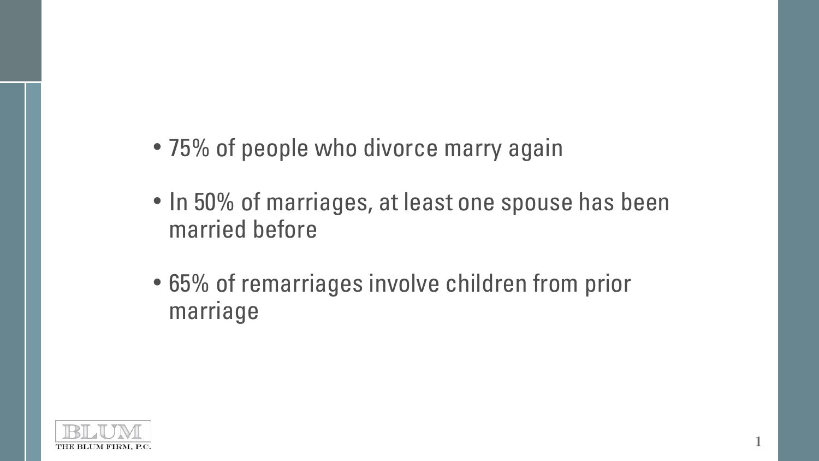- 75% of people who divorce marry again
- In 50% of marriages, at least one spouse has been married before

**1**

• 65% of remarriages involve children from prior marriage

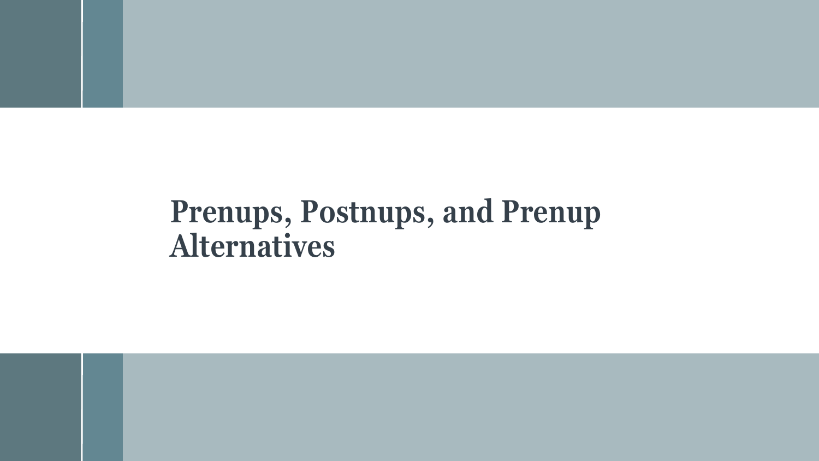## **Prenups, Postnups, and Prenup Alternatives**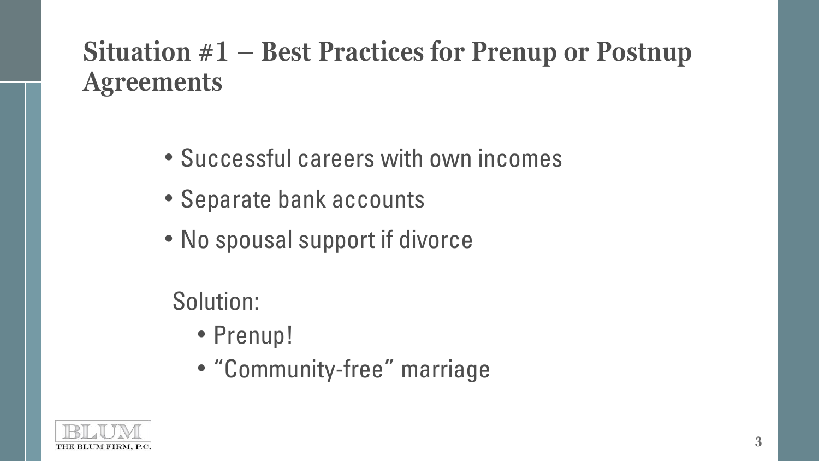### **Situation #1 – Best Practices for Prenup or Postnup Agreements**

- Successful careers with own incomes
- Separate bank accounts
- No spousal support if divorce

Solution:

- Prenup!
- "Community-free" marriage

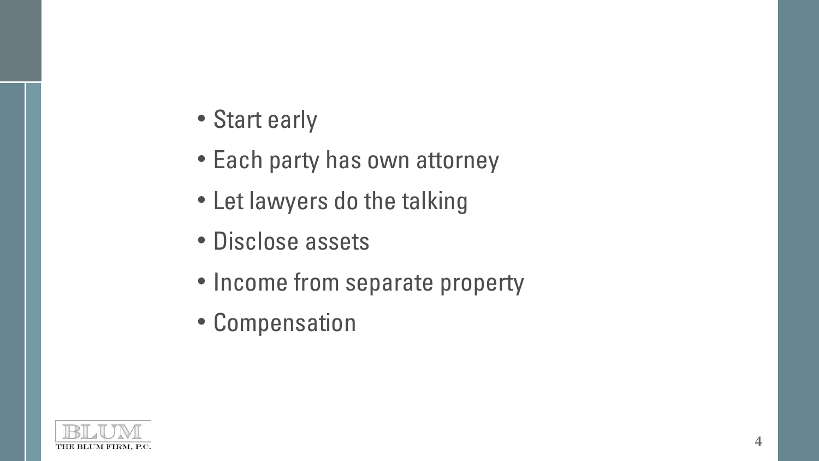- Start early
- Each party has own attorney
- Let lawyers do the talking
- Disclose assets
- Income from separate property
- Compensation

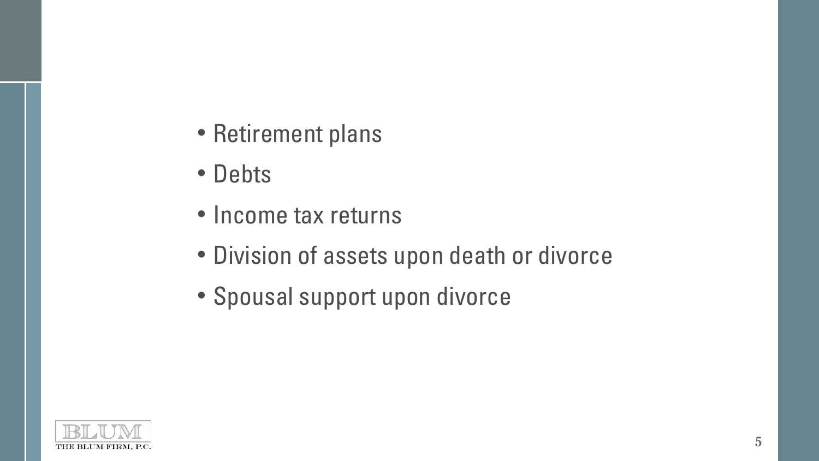- Retirement plans
- Debts
- Income tax returns
- Division of assets upon death or divorce
- Spousal support upon divorce

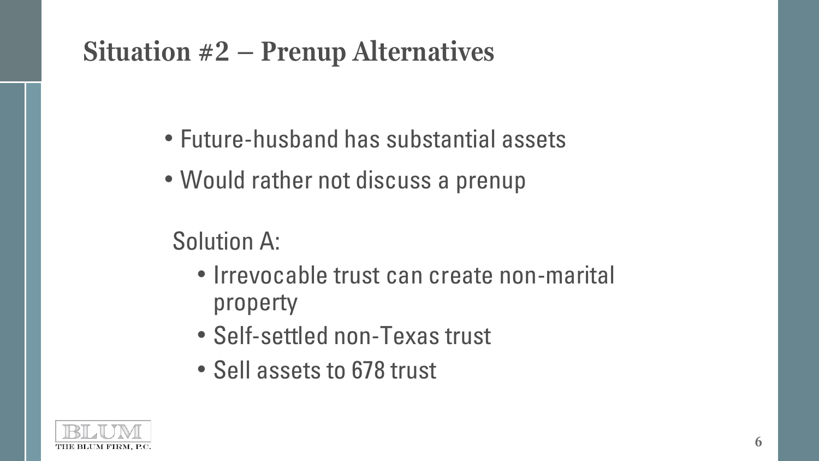### **Situation #2 – Prenup Alternatives**

- Future-husband has substantial assets
- Would rather not discuss a prenup

### Solution A:

- Irrevocable trust can create non-marital property
- Self-settled non-Texas trust
- Sell assets to 678 trust

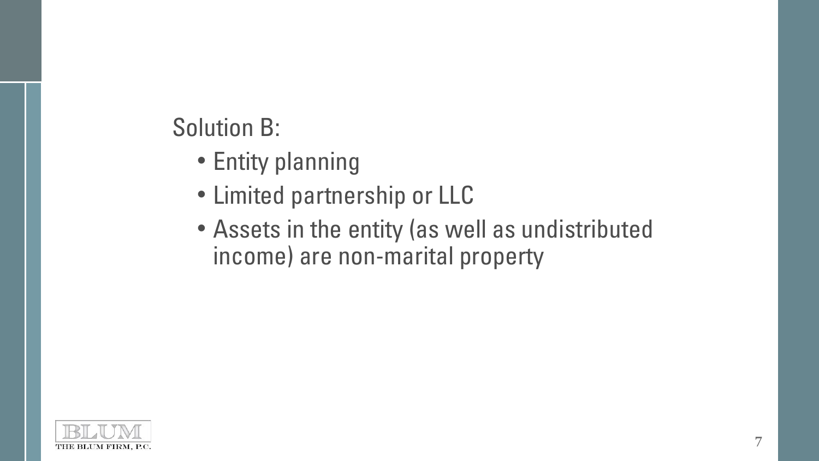### Solution B:

- Entity planning
- Limited partnership or LLC
- Assets in the entity (as well as undistributed income) are non-marital property

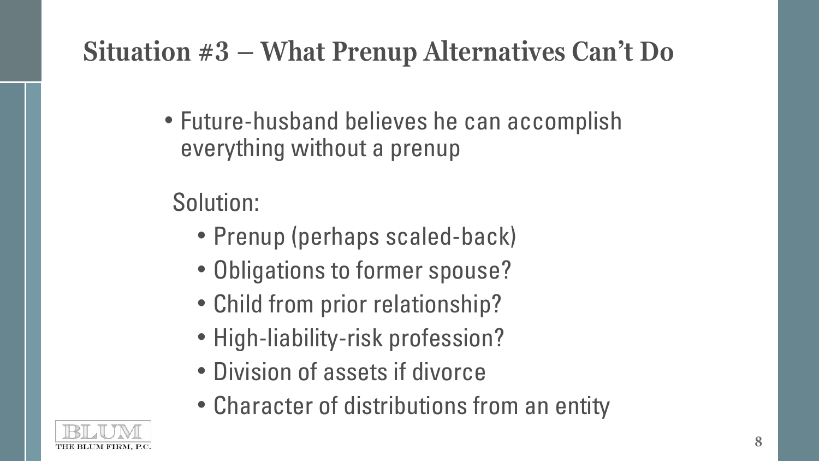## **Situation #3 – What Prenup Alternatives Can't Do**

• Future-husband believes he can accomplish everything without a prenup

Solution:

- Prenup (perhaps scaled-back)
- Obligations to former spouse?
- Child from prior relationship?
- High-liability-risk profession?
- Division of assets if divorce
- Character of distributions from an entity

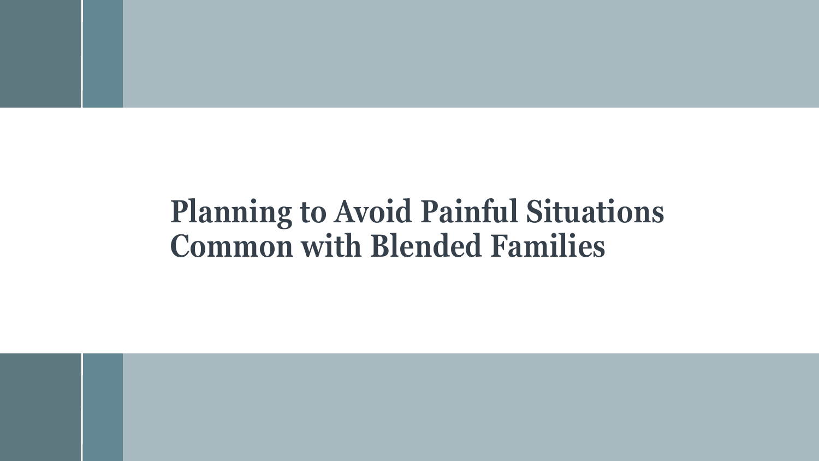# **Planning to Avoid Painful Situations Common with Blended Families**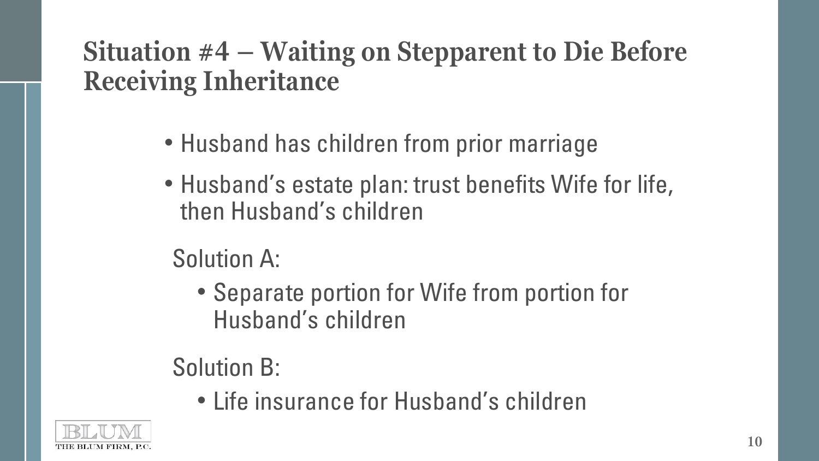### **Situation #4 – Waiting on Stepparent to Die Before Receiving Inheritance**

- Husband has children from prior marriage
- Husband's estate plan: trust benefits Wife for life, then Husband's children
	- Solution A:
		- Separate portion for Wife from portion for Husband's children

### Solution B:

• Life insurance for Husband's children

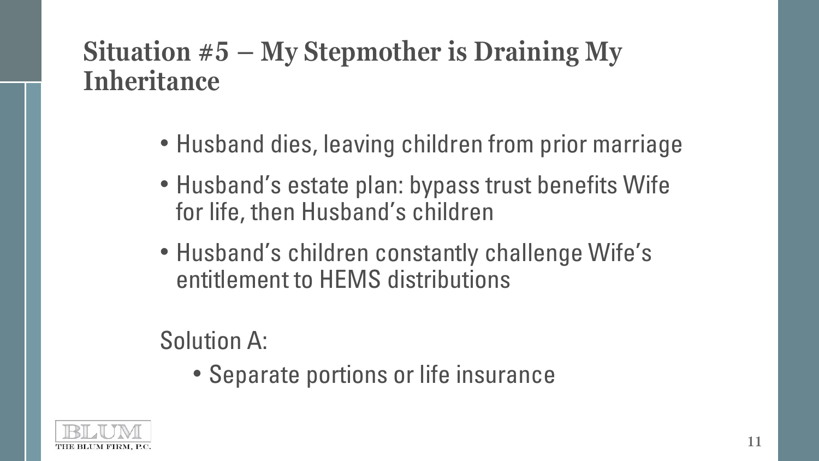### **Situation #5 – My Stepmother is Draining My Inheritance**

- Husband dies, leaving children from prior marriage
- Husband's estate plan: bypass trust benefits Wife for life, then Husband's children
- Husband's children constantly challenge Wife's entitlement to HEMS distributions

Solution A:

• Separate portions or life insurance

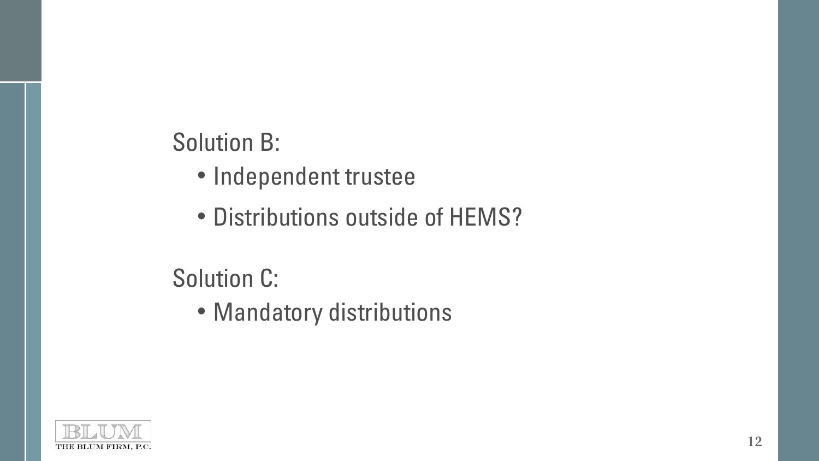### Solution B:

- Independent trustee
- Distributions outside of HEMS?

### Solution C:

• Mandatory distributions

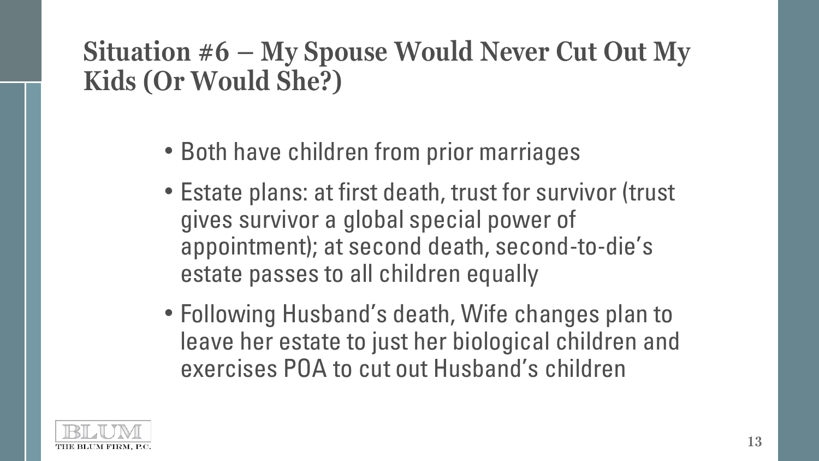### **Situation #6 – My Spouse Would Never Cut Out My Kids (Or Would She?)**

- Both have children from prior marriages
- Estate plans: at first death, trust for survivor (trust gives survivor a global special power of appointment); at second death, second-to-die's estate passes to all children equally
- Following Husband's death, Wife changes plan to leave her estate to just her biological children and exercises POA to cut out Husband's children

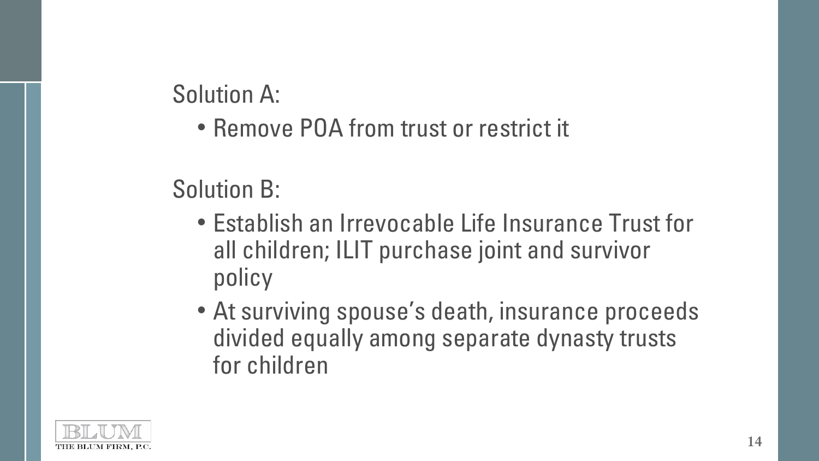Solution A:

• Remove POA from trust or restrict it

### Solution B:

- Establish an Irrevocable Life Insurance Trust for all children; ILIT purchase joint and survivor policy
- At surviving spouse's death, insurance proceeds divided equally among separate dynasty trusts for children

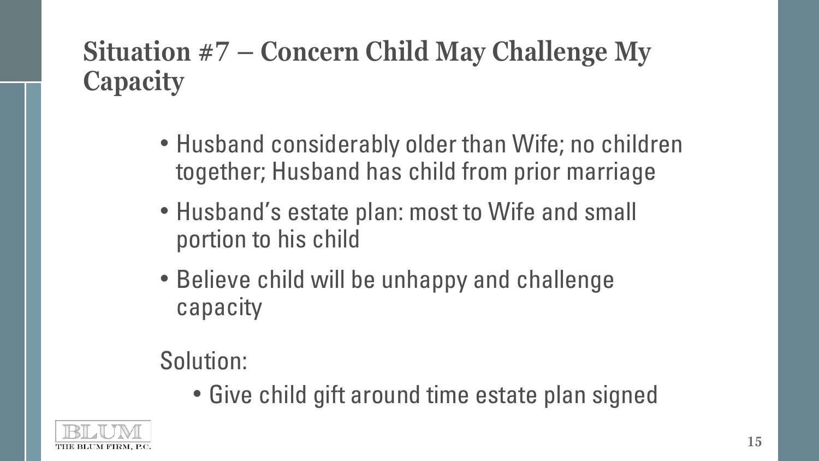## **Situation #7 – Concern Child May Challenge My Capacity**

- Husband considerably older than Wife; no children together; Husband has child from prior marriage
- Husband's estate plan: most to Wife and small portion to his child
- Believe child will be unhappy and challenge capacity

#### Solution:

• Give child gift around time estate plan signed

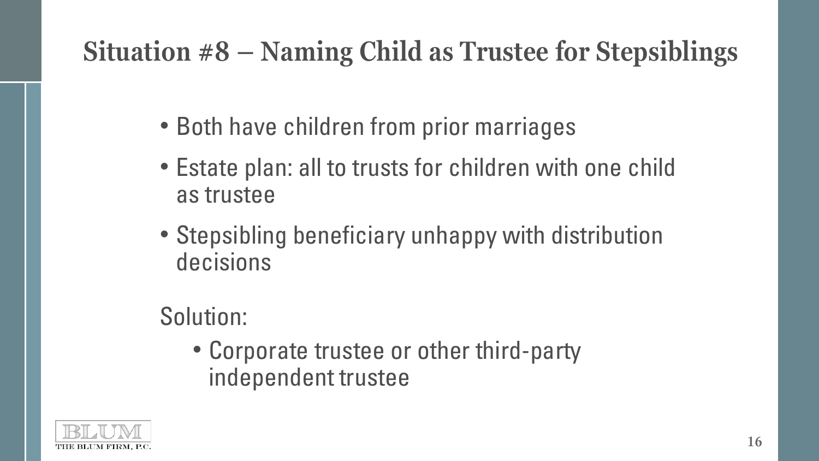# **Situation #8 – Naming Child as Trustee for Stepsiblings**

- Both have children from prior marriages
- Estate plan: all to trusts for children with one child as trustee
- Stepsibling beneficiary unhappy with distribution decisions

## Solution:

• Corporate trustee or other third-party independent trustee

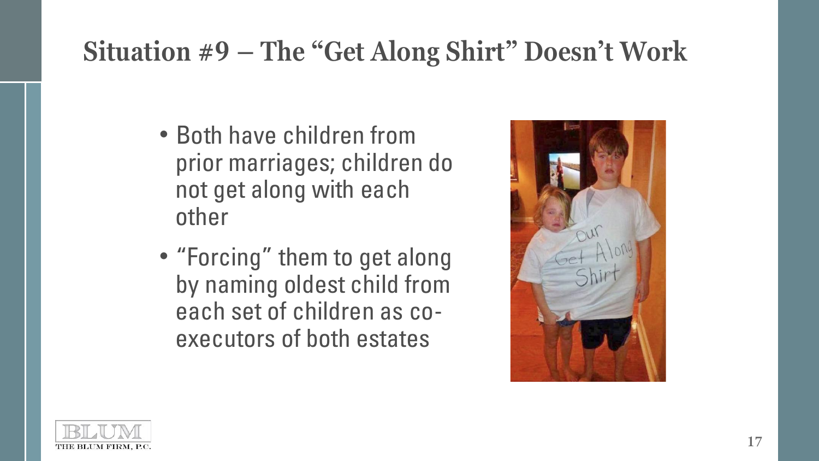## **Situation #9 – The "Get Along Shirt" Doesn't Work**

- Both have children from prior marriages; children do not get along with each other
- "Forcing" them to get along by naming oldest child from each set of children as coexecutors of both estates



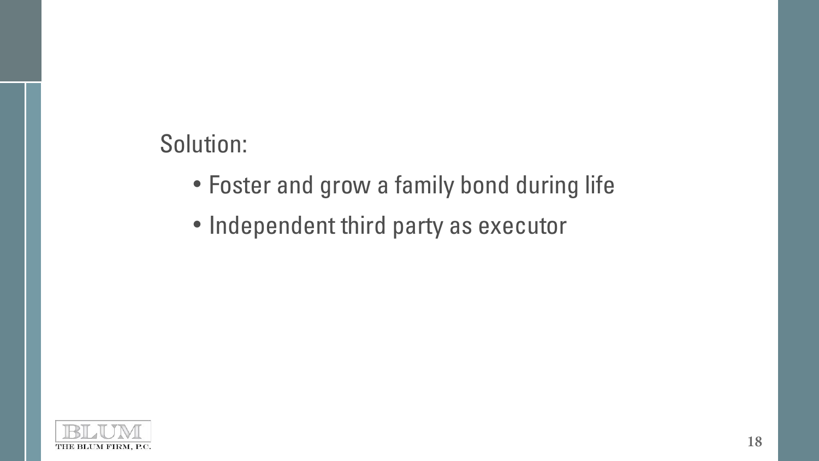#### Solution:

- Foster and grow a family bond during life
- Independent third party as executor

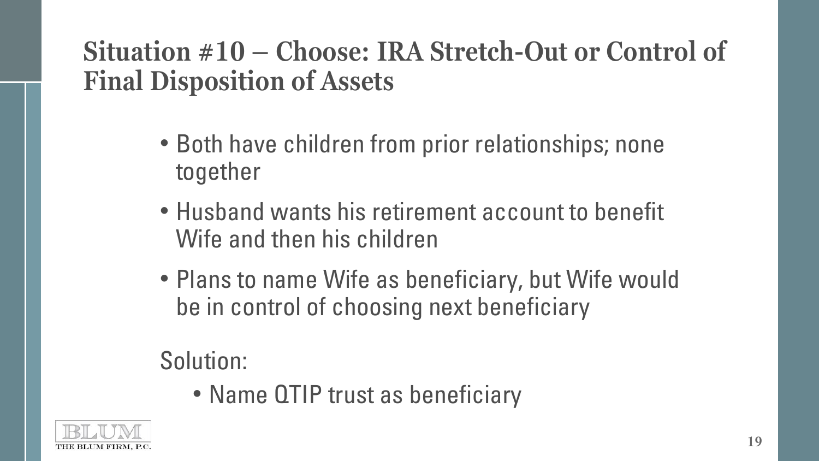### **Situation #10 – Choose: IRA Stretch-Out or Control of Final Disposition of Assets**

- Both have children from prior relationships; none together
- Husband wants his retirement account to benefit Wife and then his children
- Plans to name Wife as beneficiary, but Wife would be in control of choosing next beneficiary

#### Solution:

• Name QTIP trust as beneficiary

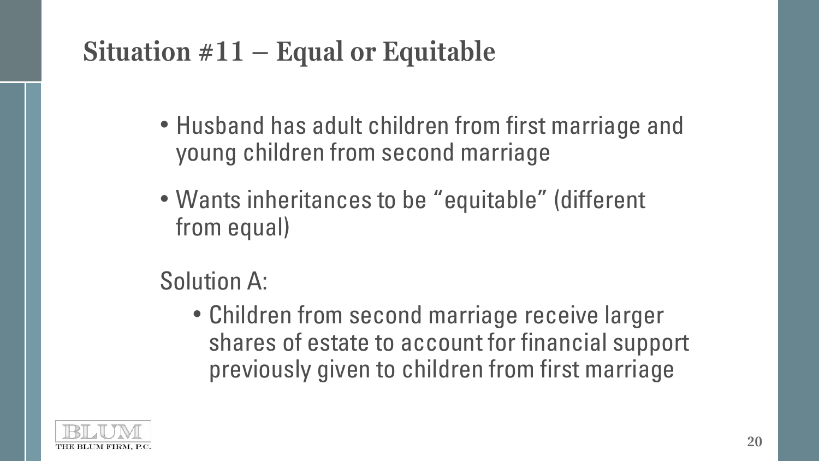## **Situation #11 – Equal or Equitable**

- Husband has adult children from first marriage and young children from second marriage
- Wants inheritances to be "equitable" (different from equal)

### Solution A:

• Children from second marriage receive larger shares of estate to account for financial support previously given to children from first marriage

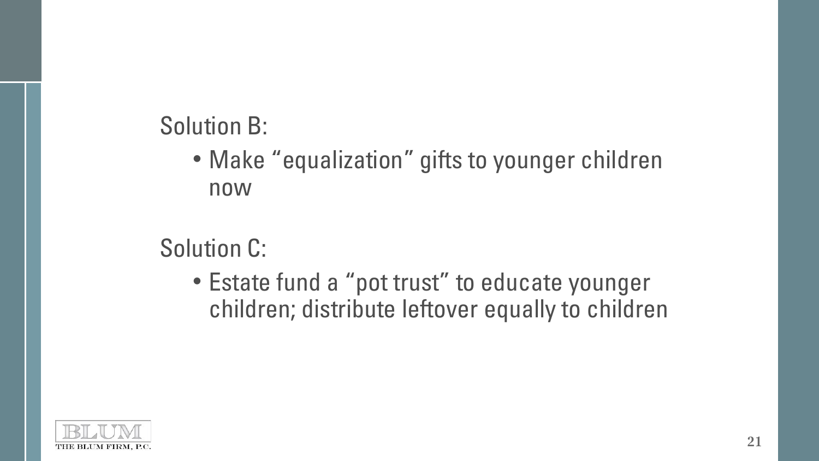Solution B:

• Make "equalization" gifts to younger children now

Solution C:

• Estate fund a "pot trust" to educate younger children; distribute leftover equally to children

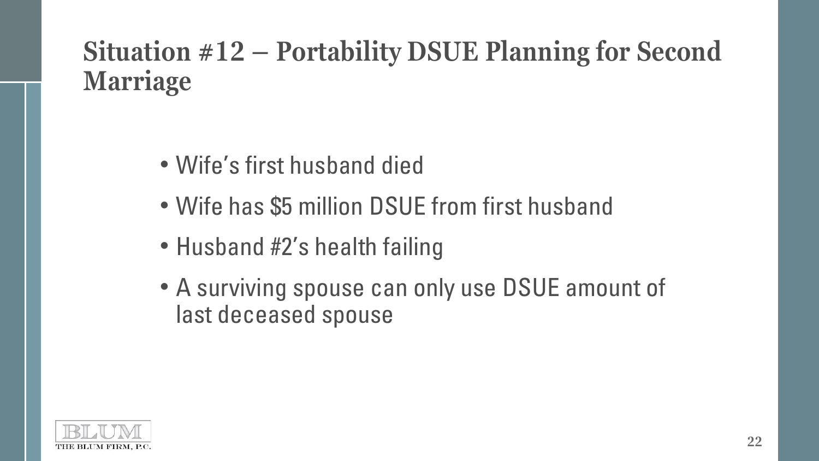### **Situation #12 – Portability DSUE Planning for Second Marriage**

- Wife's first husband died
- Wife has \$5 million DSUE from first husband
- Husband #2's health failing
- A surviving spouse can only use DSUE amount of last deceased spouse

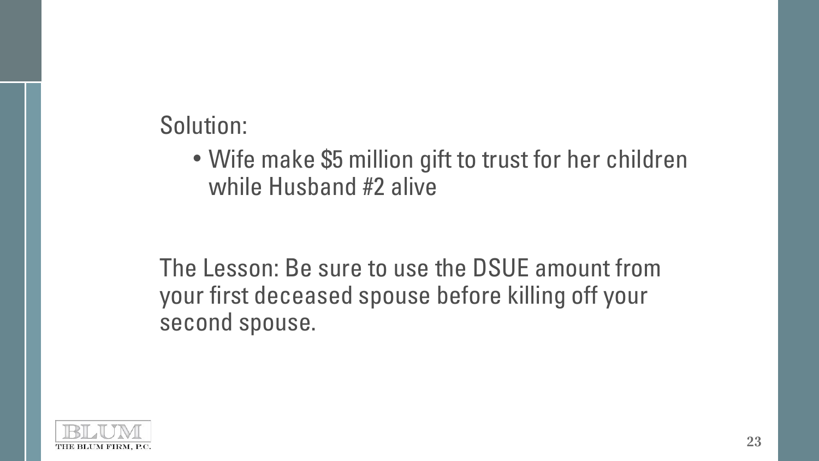Solution:

• Wife make \$5 million gift to trust for her children while Husband #2 alive

The Lesson: Be sure to use the DSUE amount from your first deceased spouse before killing off your second spouse.

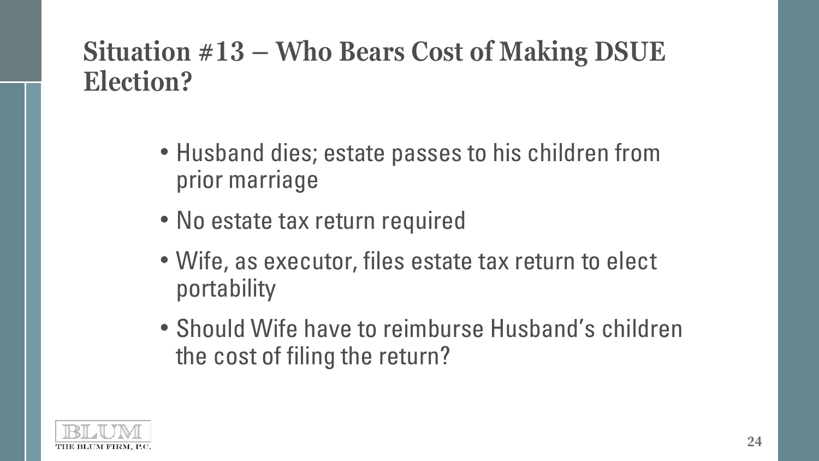### **Situation #13 – Who Bears Cost of Making DSUE Election?**

- Husband dies; estate passes to his children from prior marriage
- No estate tax return required
- Wife, as executor, files estate tax return to elect portability
- Should Wife have to reimburse Husband's children the cost of filing the return?

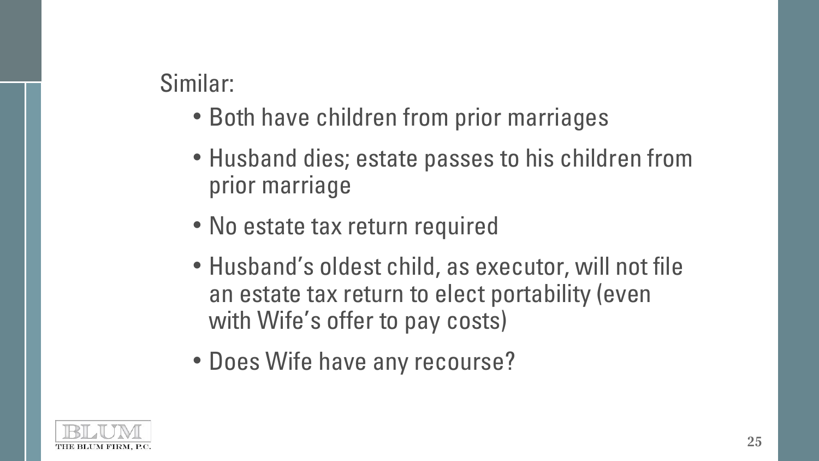#### Similar:

- Both have children from prior marriages
- Husband dies; estate passes to his children from prior marriage
- No estate tax return required
- Husband's oldest child, as executor, will not file an estate tax return to elect portability (even with Wife's offer to pay costs)
- Does Wife have any recourse?

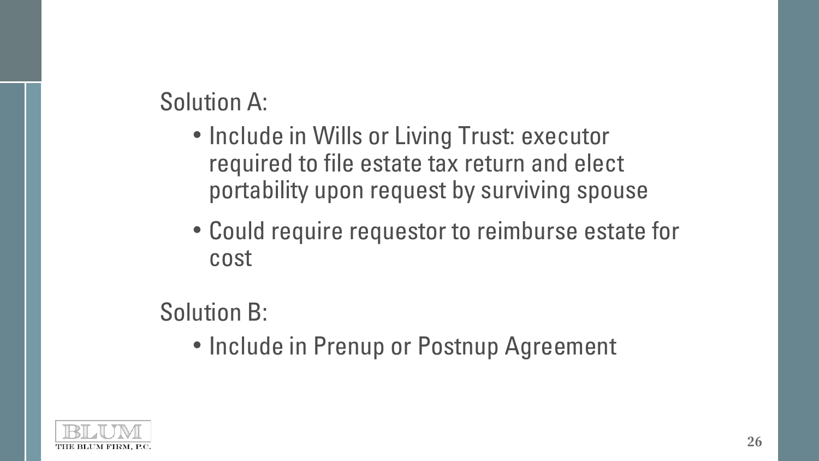Solution A:

- Include in Wills or Living Trust: executor required to file estate tax return and elect portability upon request by surviving spouse
- Could require requestor to reimburse estate for cost

### Solution B:

• Include in Prenup or Postnup Agreement

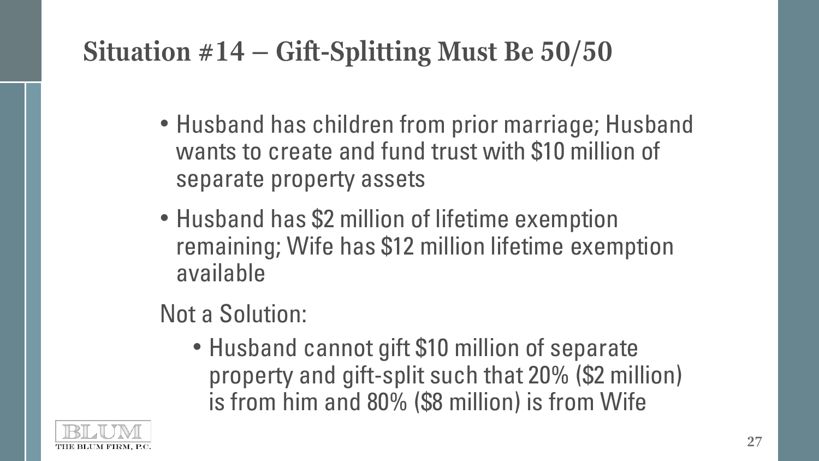## **Situation #14 – Gift-Splitting Must Be 50/50**

- Husband has children from prior marriage; Husband wants to create and fund trust with \$10 million of separate property assets
- Husband has \$2 million of lifetime exemption remaining; Wife has \$12 million lifetime exemption available

### Not a Solution:

• Husband cannot gift \$10 million of separate property and gift-split such that 20% (\$2 million) is from him and 80% (\$8 million) is from Wife

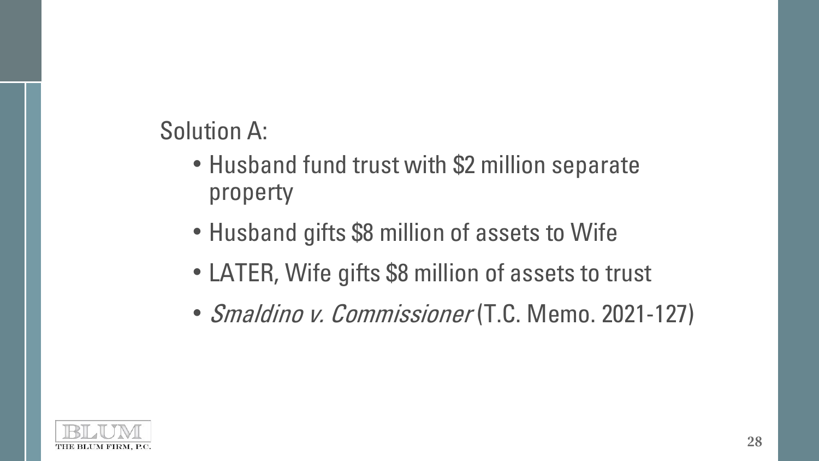Solution A:

- Husband fund trust with \$2 million separate property
- Husband gifts \$8 million of assets to Wife
- LATER, Wife gifts \$8 million of assets to trust
- Smaldino v. Commissioner (T.C. Memo. 2021-127)

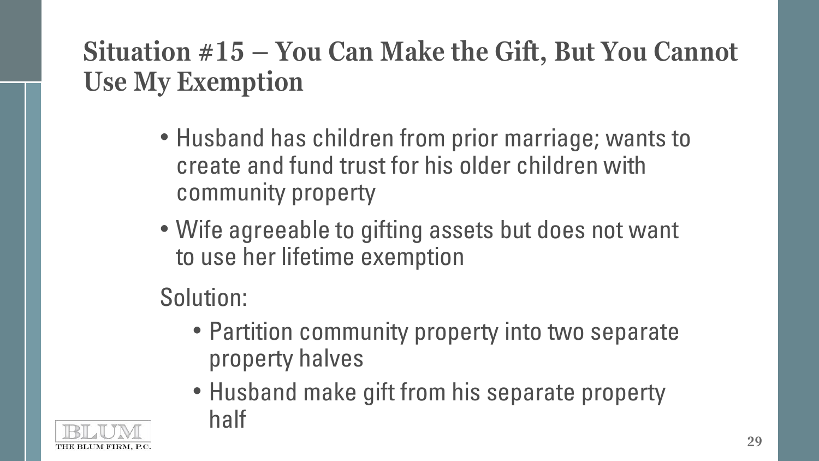## **Situation #15 – You Can Make the Gift, But You Cannot Use My Exemption**

- Husband has children from prior marriage; wants to create and fund trust for his older children with community property
- Wife agreeable to gifting assets but does not want to use her lifetime exemption

Solution:

- Partition community property into two separate property halves
- Husband make gift from his separate property half

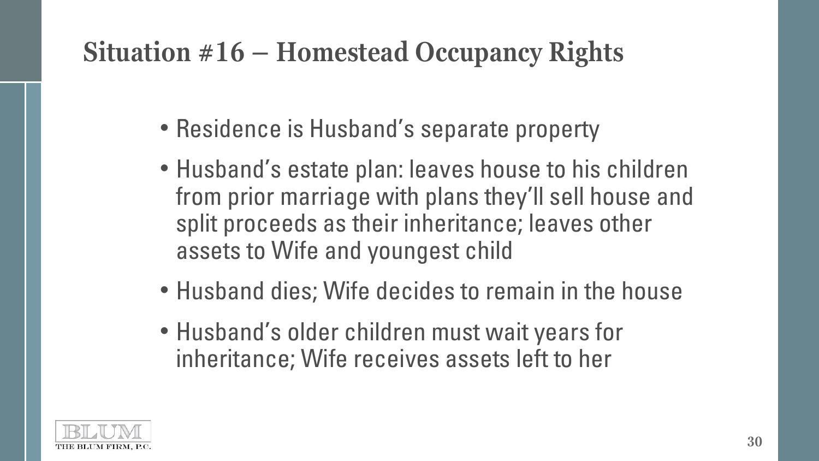## **Situation #16 – Homestead Occupancy Rights**

- Residence is Husband's separate property
- Husband's estate plan: leaves house to his children from prior marriage with plans they'll sell house and split proceeds as their inheritance; leaves other assets to Wife and youngest child
- Husband dies; Wife decides to remain in the house
- Husband's older children must wait years for inheritance; Wife receives assets left to her

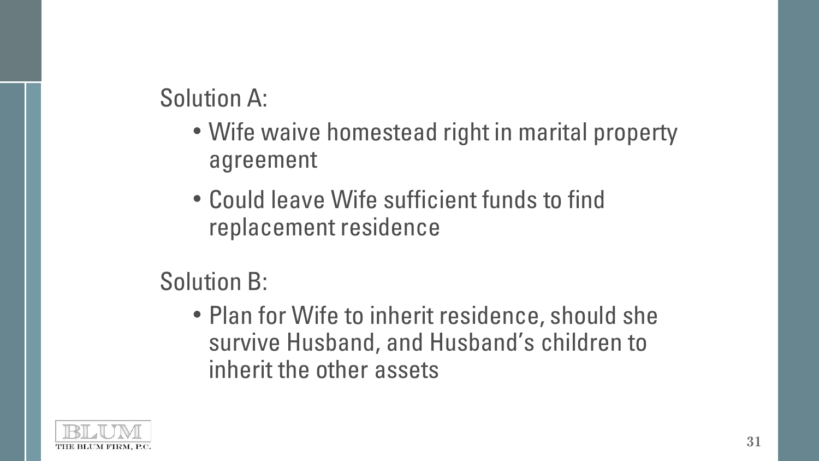Solution A:

- Wife waive homestead right in marital property agreement
- Could leave Wife sufficient funds to find replacement residence

Solution B:

• Plan for Wife to inherit residence, should she survive Husband, and Husband's children to inherit the other assets

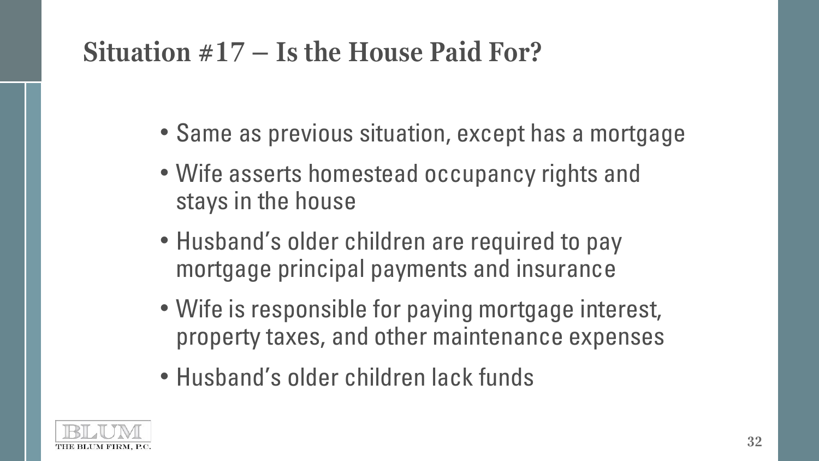## **Situation #17 – Is the House Paid For?**

- Same as previous situation, except has a mortgage
- Wife asserts homestead occupancy rights and stays in the house
- Husband's older children are required to pay mortgage principal payments and insurance
- Wife is responsible for paying mortgage interest, property taxes, and other maintenance expenses
- Husband's older children lack funds

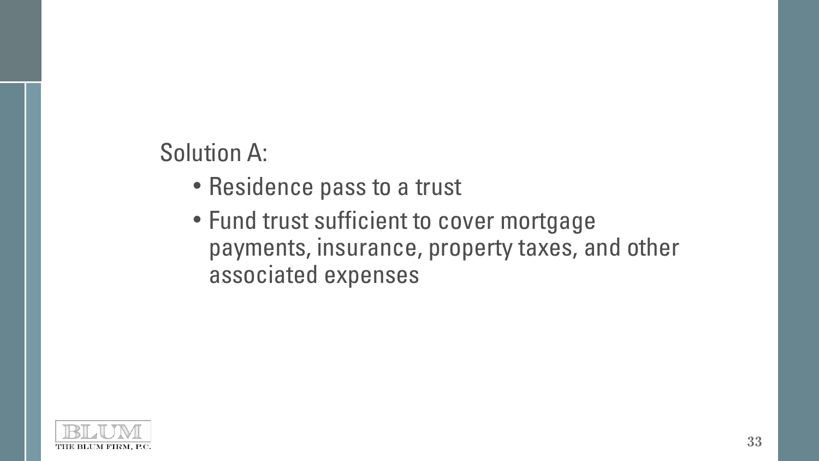### Solution A:

- Residence pass to a trust
- Fund trust sufficient to cover mortgage payments, insurance, property taxes, and other associated expenses

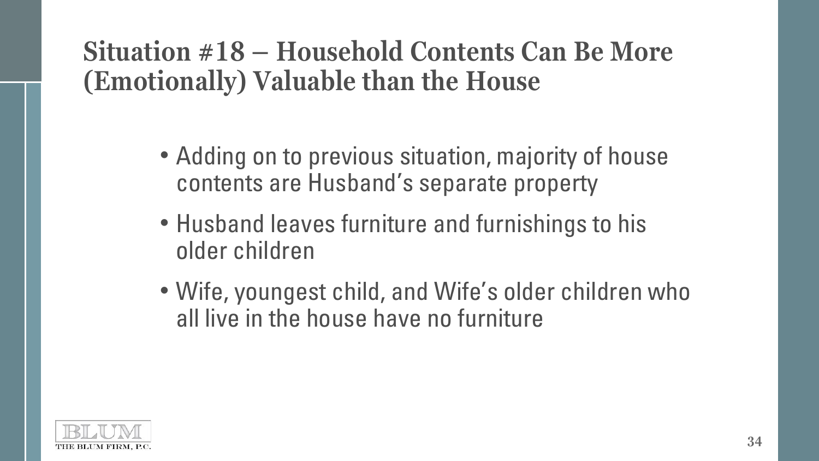### **Situation #18 – Household Contents Can Be More (Emotionally) Valuable than the House**

- Adding on to previous situation, majority of house contents are Husband's separate property
- Husband leaves furniture and furnishings to his older children
- Wife, youngest child, and Wife's older children who all live in the house have no furniture

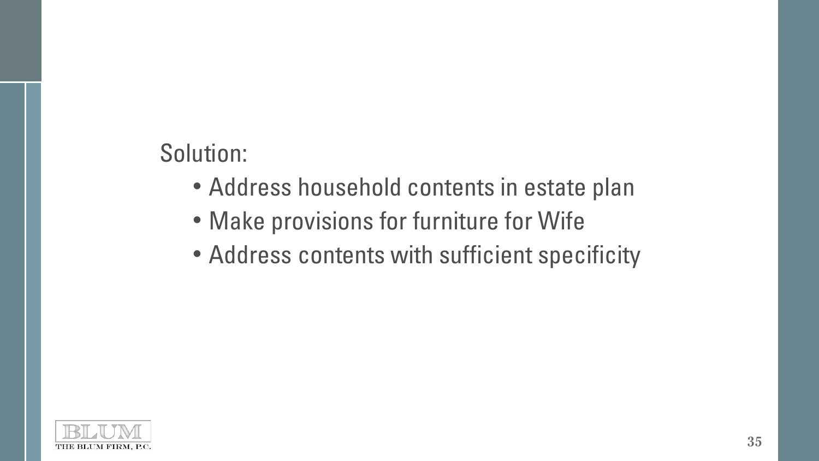### Solution:

- Address household contents in estate plan
- Make provisions for furniture for Wife
- Address contents with sufficient specificity

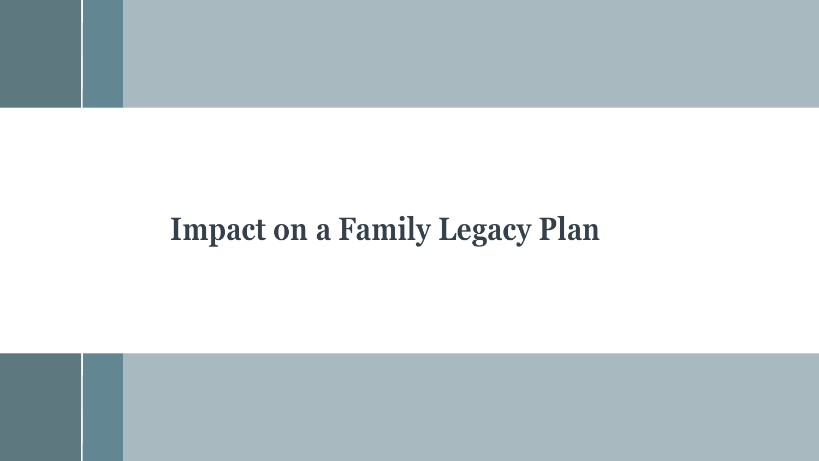# **Impact on a Family Legacy Plan**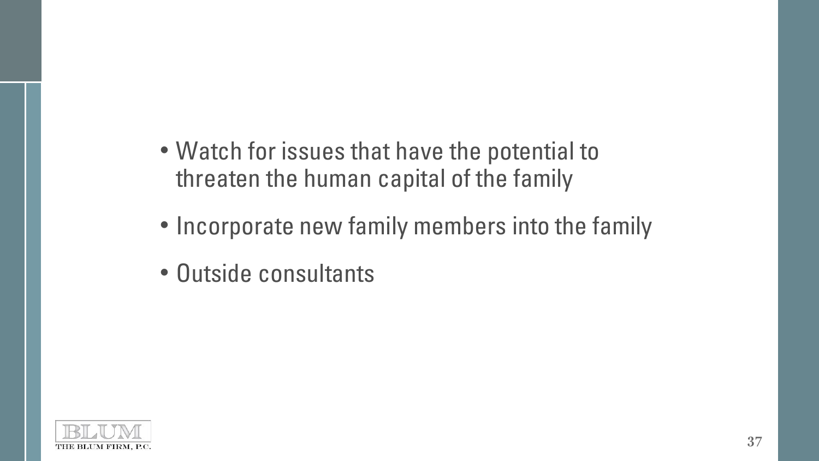- Watch for issues that have the potential to threaten the human capital of the family
- Incorporate new family members into the family
- Outside consultants

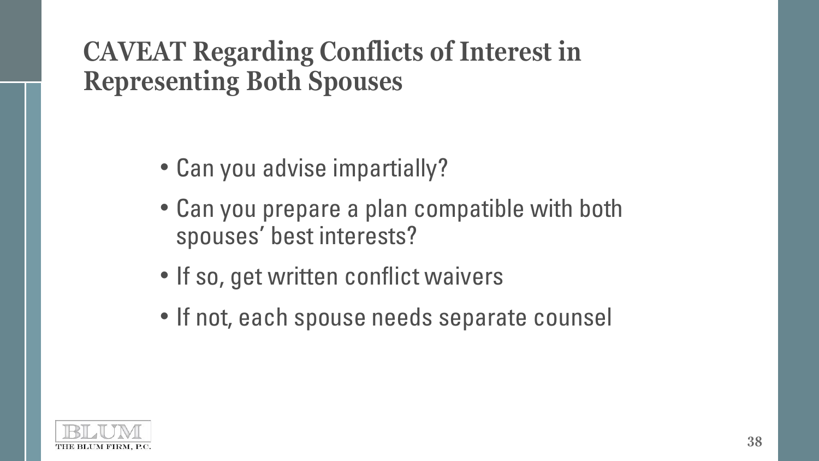### **CAVEAT Regarding Conflicts of Interest in Representing Both Spouses**

- Can you advise impartially?
- Can you prepare a plan compatible with both spouses' best interests?
- If so, get written conflict waivers
- If not, each spouse needs separate counsel